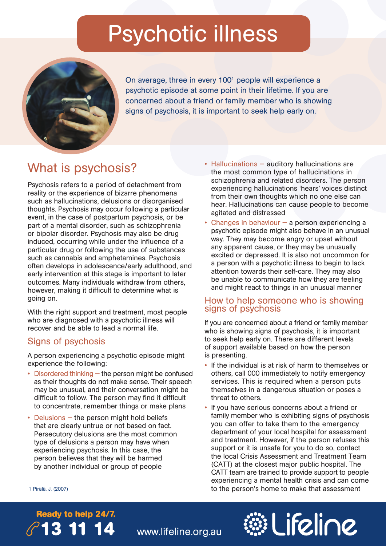## Psychotic illness



On average, three in every 100<sup>1</sup> people will experience a psychotic episode at some point in their lifetime. If you are concerned about a friend or family member who is showing signs of psychosis, it is important to seek help early on.

### What is psychosis?

Psychosis refers to a period of detachment from reality or the experience of bizarre phenomena such as hallucinations, delusions or disorganised thoughts. Psychosis may occur following a particular event, in the case of postpartum psychosis, or be part of a mental disorder, such as schizophrenia or bipolar disorder. Psychosis may also be drug induced, occurring while under the influence of a particular drug or following the use of substances such as cannabis and amphetamines. Psychosis often develops in adolescence/early adulthood, and early intervention at this stage is important to later outcomes. Many individuals withdraw from others, however, making it difficult to determine what is going on.

With the right support and treatment, most people who are diagnosed with a psychotic illness will recover and be able to lead a normal life.

#### Signs of psychosis

A person experiencing a psychotic episode might experience the following:

- Disordered thinking the person might be confused as their thoughts do not make sense. Their speech may be unusual, and their conversation might be difficult to follow. The person may find it difficult to concentrate, remember things or make plans
- Delusions the person might hold beliefs that are clearly untrue or not based on fact. Persecutory delusions are the most common type of delusions a person may have when experiencing psychosis. In this case, the person believes that they will be harmed by another individual or group of people
- Hallucinations auditory hallucinations are the most common type of hallucinations in schizophrenia and related disorders. The person experiencing hallucinations 'hears' voices distinct from their own thoughts which no one else can hear. Hallucinations can cause people to become agitated and distressed
- Changes in behaviour a person experiencing a psychotic episode might also behave in an unusual way. They may become angry or upset without any apparent cause, or they may be unusually excited or depressed. It is also not uncommon for a person with a psychotic illness to begin to lack attention towards their self-care. They may also be unable to communicate how they are feeling and might react to things in an unusual manner

#### How to help someone who is showing signs of psychosis

If you are concerned about a friend or family member who is showing signs of psychosis, it is important to seek help early on. There are different levels of support available based on how the person is presenting.

- If the individual is at risk of harm to themselves or others, call 000 immediately to notify emergency services. This is required when a person puts themselves in a dangerous situation or poses a threat to others.
- If you have serious concerns about a friend or family member who is exhibiting signs of psychosis you can offer to take them to the emergency department of your local hospital for assessment and treatment. However, if the person refuses this support or it is unsafe for you to do so, contact the local Crisis Assessment and Treatment Team (CATT) at the closest major public hospital. The CATT team are trained to provide support to people experiencing a mental health crisis and can come to the person's home to make that assessment

1 Pirälä, J. (2007)

# **Ready to help 24/7.**

**13 11 14** www.lifeline.org.au